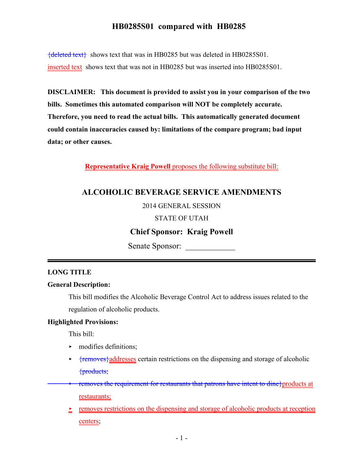${deleted text}$  shows text that was in HB0285 but was deleted in HB0285S01. inserted text shows text that was not in HB0285 but was inserted into HB0285S01.

**DISCLAIMER: This document is provided to assist you in your comparison of the two bills. Sometimes this automated comparison will NOT be completely accurate. Therefore, you need to read the actual bills. This automatically generated document could contain inaccuracies caused by: limitations of the compare program; bad input data; or other causes.**

**Representative Kraig Powell** proposes the following substitute bill:

# **ALCOHOLIC BEVERAGE SERVICE AMENDMENTS**

2014 GENERAL SESSION

#### STATE OF UTAH

## **Chief Sponsor: Kraig Powell**

Senate Sponsor:

#### **LONG TITLE**

#### **General Description:**

This bill modifies the Alcoholic Beverage Control Act to address issues related to the regulation of alcoholic products.

#### **Highlighted Provisions:**

This bill:

- $\blacktriangleright$  modifies definitions;
- $\rightarrow$  {removes}addresses certain restrictions on the dispensing and storage of alcoholic {products;
- removes the requirement for restaurants that patrons have intent to dine}products at restaurants;
	- $\geq$  removes restrictions on the dispensing and storage of alcoholic products at reception centers;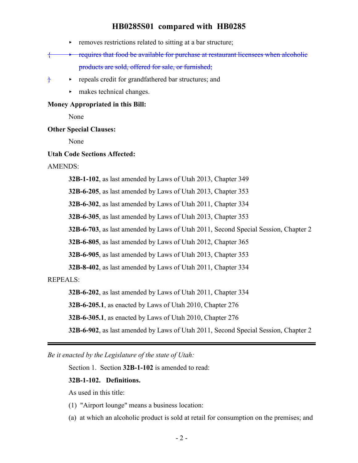- $\triangleright$  removes restrictions related to sitting at a bar structure;
- $\longleftarrow$  requires that food be available for purchase at restaurant licensees when alcoholic products are sold, offered for sale, or furnished;
- $\diamond$  repeals credit for grandfathered bar structures; and
	- makes technical changes.

#### **Money Appropriated in this Bill:**

None

#### **Other Special Clauses:**

None

#### **Utah Code Sections Affected:**

#### AMENDS:

**32B-1-102**, as last amended by Laws of Utah 2013, Chapter 349

**32B-6-205**, as last amended by Laws of Utah 2013, Chapter 353

**32B-6-302**, as last amended by Laws of Utah 2011, Chapter 334

**32B-6-305**, as last amended by Laws of Utah 2013, Chapter 353

**32B-6-703**, as last amended by Laws of Utah 2011, Second Special Session, Chapter 2

**32B-6-805**, as last amended by Laws of Utah 2012, Chapter 365

**32B-6-905**, as last amended by Laws of Utah 2013, Chapter 353

**32B-8-402**, as last amended by Laws of Utah 2011, Chapter 334

REPEALS:

**32B-6-202**, as last amended by Laws of Utah 2011, Chapter 334

**32B-6-205.1**, as enacted by Laws of Utah 2010, Chapter 276

**32B-6-305.1**, as enacted by Laws of Utah 2010, Chapter 276

**32B-6-902**, as last amended by Laws of Utah 2011, Second Special Session, Chapter 2

*Be it enacted by the Legislature of the state of Utah:*

Section 1. Section **32B-1-102** is amended to read:

#### **32B-1-102. Definitions.**

As used in this title:

- (1) "Airport lounge" means a business location:
- (a) at which an alcoholic product is sold at retail for consumption on the premises; and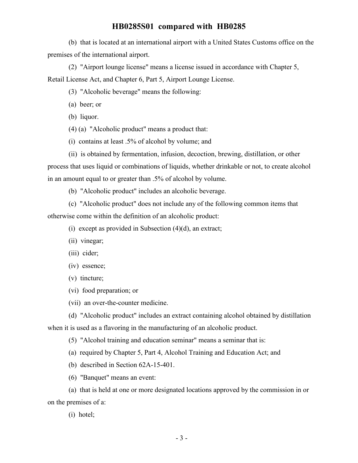(b) that is located at an international airport with a United States Customs office on the premises of the international airport.

(2) "Airport lounge license" means a license issued in accordance with Chapter 5, Retail License Act, and Chapter 6, Part 5, Airport Lounge License.

- (3) "Alcoholic beverage" means the following:
- (a) beer; or
- (b) liquor.
- (4) (a) "Alcoholic product" means a product that:
- (i) contains at least .5% of alcohol by volume; and

(ii) is obtained by fermentation, infusion, decoction, brewing, distillation, or other process that uses liquid or combinations of liquids, whether drinkable or not, to create alcohol in an amount equal to or greater than .5% of alcohol by volume.

(b) "Alcoholic product" includes an alcoholic beverage.

(c) "Alcoholic product" does not include any of the following common items that otherwise come within the definition of an alcoholic product:

(i) except as provided in Subsection  $(4)(d)$ , an extract;

- (ii) vinegar;
- (iii) cider;
- (iv) essence;
- (v) tincture;
- (vi) food preparation; or
- (vii) an over-the-counter medicine.

(d) "Alcoholic product" includes an extract containing alcohol obtained by distillation when it is used as a flavoring in the manufacturing of an alcoholic product.

(5) "Alcohol training and education seminar" means a seminar that is:

(a) required by Chapter 5, Part 4, Alcohol Training and Education Act; and

- (b) described in Section 62A-15-401.
- (6) "Banquet" means an event:

(a) that is held at one or more designated locations approved by the commission in or on the premises of a:

(i) hotel;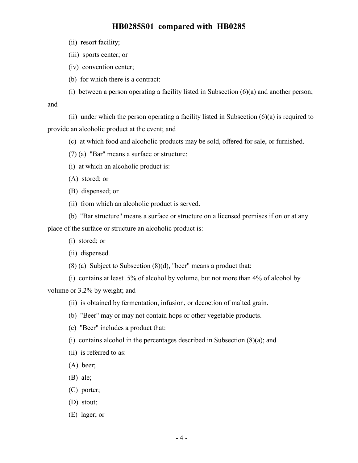- (ii) resort facility;
- (iii) sports center; or
- (iv) convention center;
- (b) for which there is a contract:
- (i) between a person operating a facility listed in Subsection (6)(a) and another person;

and

(ii) under which the person operating a facility listed in Subsection  $(6)(a)$  is required to provide an alcoholic product at the event; and

- (c) at which food and alcoholic products may be sold, offered for sale, or furnished.
- (7) (a) "Bar" means a surface or structure:
- (i) at which an alcoholic product is:
- (A) stored; or
- (B) dispensed; or
- (ii) from which an alcoholic product is served.

(b) "Bar structure" means a surface or structure on a licensed premises if on or at any place of the surface or structure an alcoholic product is:

- (i) stored; or
- (ii) dispensed.
- $(8)$  (a) Subject to Subsection  $(8)(d)$ , "beer" means a product that:
- (i) contains at least .5% of alcohol by volume, but not more than 4% of alcohol by

volume or 3.2% by weight; and

- (ii) is obtained by fermentation, infusion, or decoction of malted grain.
- (b) "Beer" may or may not contain hops or other vegetable products.
- (c) "Beer" includes a product that:
- (i) contains alcohol in the percentages described in Subsection (8)(a); and
- (ii) is referred to as:
- (A) beer;
- (B) ale;
- (C) porter;
- (D) stout;
- (E) lager; or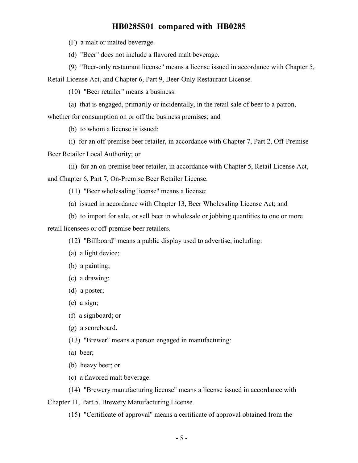(F) a malt or malted beverage.

(d) "Beer" does not include a flavored malt beverage.

(9) "Beer-only restaurant license" means a license issued in accordance with Chapter 5, Retail License Act, and Chapter 6, Part 9, Beer-Only Restaurant License.

(10) "Beer retailer" means a business:

(a) that is engaged, primarily or incidentally, in the retail sale of beer to a patron,

whether for consumption on or off the business premises; and

(b) to whom a license is issued:

(i) for an off-premise beer retailer, in accordance with Chapter 7, Part 2, Off-Premise Beer Retailer Local Authority; or

(ii) for an on-premise beer retailer, in accordance with Chapter 5, Retail License Act, and Chapter 6, Part 7, On-Premise Beer Retailer License.

(11) "Beer wholesaling license" means a license:

(a) issued in accordance with Chapter 13, Beer Wholesaling License Act; and

(b) to import for sale, or sell beer in wholesale or jobbing quantities to one or more retail licensees or off-premise beer retailers.

(12) "Billboard" means a public display used to advertise, including:

(a) a light device;

(b) a painting;

(c) a drawing;

(d) a poster;

(e) a sign;

(f) a signboard; or

(g) a scoreboard.

(13) "Brewer" means a person engaged in manufacturing:

(a) beer;

(b) heavy beer; or

(c) a flavored malt beverage.

(14) "Brewery manufacturing license" means a license issued in accordance with

Chapter 11, Part 5, Brewery Manufacturing License.

(15) "Certificate of approval" means a certificate of approval obtained from the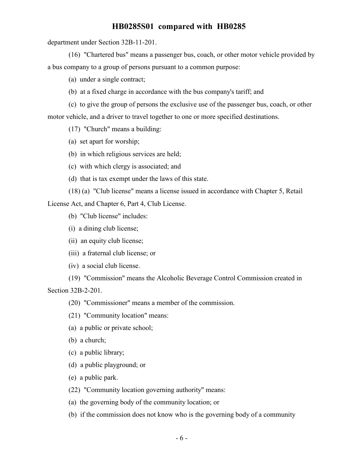department under Section 32B-11-201.

(16) "Chartered bus" means a passenger bus, coach, or other motor vehicle provided by a bus company to a group of persons pursuant to a common purpose:

(a) under a single contract;

(b) at a fixed charge in accordance with the bus company's tariff; and

(c) to give the group of persons the exclusive use of the passenger bus, coach, or other motor vehicle, and a driver to travel together to one or more specified destinations.

(17) "Church" means a building:

(a) set apart for worship;

- (b) in which religious services are held;
- (c) with which clergy is associated; and
- (d) that is tax exempt under the laws of this state.
- (18) (a) "Club license" means a license issued in accordance with Chapter 5, Retail

License Act, and Chapter 6, Part 4, Club License.

- (b) "Club license" includes:
- (i) a dining club license;
- (ii) an equity club license;
- (iii) a fraternal club license; or

(iv) a social club license.

(19) "Commission" means the Alcoholic Beverage Control Commission created in Section 32B-2-201.

(20) "Commissioner" means a member of the commission.

- (21) "Community location" means:
- (a) a public or private school;
- (b) a church;
- (c) a public library;
- (d) a public playground; or
- (e) a public park.

(22) "Community location governing authority" means:

(a) the governing body of the community location; or

(b) if the commission does not know who is the governing body of a community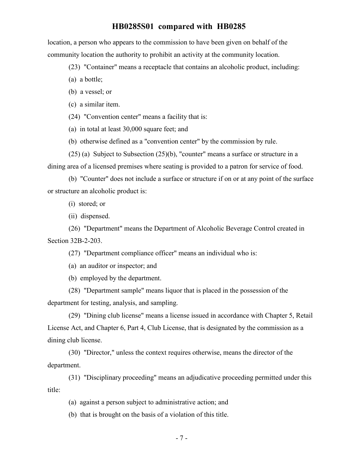location, a person who appears to the commission to have been given on behalf of the community location the authority to prohibit an activity at the community location.

(23) "Container" means a receptacle that contains an alcoholic product, including:

(a) a bottle;

(b) a vessel; or

(c) a similar item.

(24) "Convention center" means a facility that is:

(a) in total at least 30,000 square feet; and

(b) otherwise defined as a "convention center" by the commission by rule.

(25) (a) Subject to Subsection (25)(b), "counter" means a surface or structure in a

dining area of a licensed premises where seating is provided to a patron for service of food.

(b) "Counter" does not include a surface or structure if on or at any point of the surface or structure an alcoholic product is:

(i) stored; or

(ii) dispensed.

(26) "Department" means the Department of Alcoholic Beverage Control created in Section 32B-2-203.

(27) "Department compliance officer" means an individual who is:

(a) an auditor or inspector; and

(b) employed by the department.

(28) "Department sample" means liquor that is placed in the possession of the department for testing, analysis, and sampling.

(29) "Dining club license" means a license issued in accordance with Chapter 5, Retail License Act, and Chapter 6, Part 4, Club License, that is designated by the commission as a dining club license.

(30) "Director," unless the context requires otherwise, means the director of the department.

(31) "Disciplinary proceeding" means an adjudicative proceeding permitted under this title:

(a) against a person subject to administrative action; and

(b) that is brought on the basis of a violation of this title.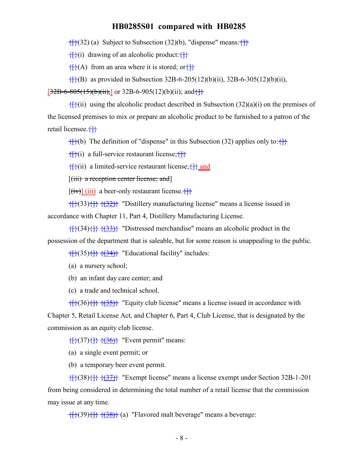$\{$ {}}(32) (a) Subject to Subsection (32)(b), "dispense" means:  $\{$ }}

 $\{f\}(i)$  drawing of an alcoholic product: $\{f\}$ 

 $\{\}$ (A) from an area where it is stored; or $\{\}$ 

 $\{$ <sub>{{}</sub>(B) as provided in Subsection 32B-6-205(12)(b)(ii), 32B-6-305(12)(b)(ii),

 $[32B-6-805(15)(b)(ii)]$  or 32B-6-905(12)(b)(ii); and  $\{\}$ 

 $\{f\}(i)$  using the alcoholic product described in Subsection (32)(a)(i) on the premises of the licensed premises to mix or prepare an alcoholic product to be furnished to a patron of the retail licensee. {}

 ${f}{f}(b)$  The definition of "dispense" in this Subsection (32) applies only to: ${f}{f}$ 

 $\{\}$ (i) a full-service restaurant license; $\{\}$ 

 $\{\}$ (ii) a limited-service restaurant license;  $\{\}$  and

[(iii) a reception center license; and]

 $[\overline{(iv)}]$  (iii) a beer-only restaurant license.

 $\{ {\}({}^{3}(\{3\})\} \}$   $\{({}^{3}(\{3\})\})$  "Distillery manufacturing license" means a license issued in accordance with Chapter 11, Part 4, Distillery Manufacturing License.

 $\{ {\} \{ {\} \} \} \{ {\} \} \{ {\} \} \}$  "Distressed merchandise" means an alcoholic product in the possession of the department that is saleable, but for some reason is unappealing to the public.

 $\{\{\}^{(35)}\{\}\}$   $\{\{34\}\}$  "Educational facility" includes:

(a) a nursery school;

(b) an infant day care center; and

(c) a trade and technical school.

 $\{ {\} \{ {\} \} \}$  { $\{ {\} \}$ }  $\{ {\} \}$ } "Equity club license" means a license issued in accordance with Chapter 5, Retail License Act, and Chapter 6, Part 4, Club License, that is designated by the commission as an equity club license.

 $\{ {\}({}^{37}) {\} \}$   $\{ ({}^{36}) {\}$  "Event permit" means:

(a) a single event permit; or

(b) a temporary beer event permit.

 $\{ {\} \}$ {{37}} "Exempt license" means a license exempt under Section 32B-1-201 from being considered in determining the total number of a retail license that the commission may issue at any time.

 $\{ {\}(\{39\}) {\} \}$   $\{ {\}(\{38\}) {\}$  (a) "Flavored malt beverage" means a beverage: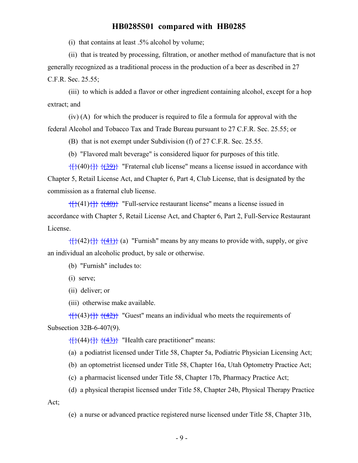(i) that contains at least .5% alcohol by volume;

(ii) that is treated by processing, filtration, or another method of manufacture that is not generally recognized as a traditional process in the production of a beer as described in 27 C.F.R. Sec. 25.55;

(iii) to which is added a flavor or other ingredient containing alcohol, except for a hop extract; and

(iv) (A) for which the producer is required to file a formula for approval with the federal Alcohol and Tobacco Tax and Trade Bureau pursuant to 27 C.F.R. Sec. 25.55; or

(B) that is not exempt under Subdivision (f) of 27 C.F.R. Sec. 25.55.

(b) "Flavored malt beverage" is considered liquor for purposes of this title.

 $\{ {\} (40) {\} \}$   $\{ {\} (39) \}$  "Fraternal club license" means a license issued in accordance with Chapter 5, Retail License Act, and Chapter 6, Part 4, Club License, that is designated by the commission as a fraternal club license.

 $\{ {\} \{ {40} \} \}$  "Full-service restaurant license" means a license issued in accordance with Chapter 5, Retail License Act, and Chapter 6, Part 2, Full-Service Restaurant License.

 $\{ {\} (42) {\} \}$   $\{ {\} (41) \}$  (a) "Furnish" means by any means to provide with, supply, or give an individual an alcoholic product, by sale or otherwise.

(b) "Furnish" includes to:

(i) serve;

(ii) deliver; or

(iii) otherwise make available.

 $\{ {\}({}^{4}(\{43\})\} \}$  "Guest" means an individual who meets the requirements of Subsection 32B-6-407(9).

 $\{\{\} (44)\{\}\}$   $\{\{\underline{43}\}\}$  "Health care practitioner" means:

(a) a podiatrist licensed under Title 58, Chapter 5a, Podiatric Physician Licensing Act;

(b) an optometrist licensed under Title 58, Chapter 16a, Utah Optometry Practice Act;

(c) a pharmacist licensed under Title 58, Chapter 17b, Pharmacy Practice Act;

(d) a physical therapist licensed under Title 58, Chapter 24b, Physical Therapy Practice

Act;

(e) a nurse or advanced practice registered nurse licensed under Title 58, Chapter 31b,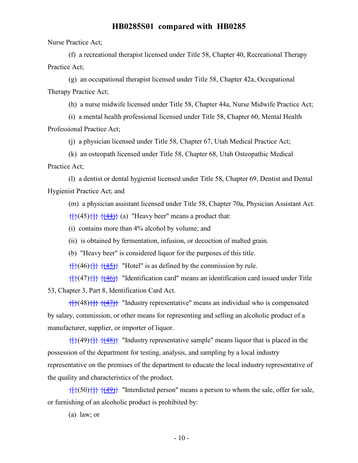Nurse Practice Act;

(f) a recreational therapist licensed under Title 58, Chapter 40, Recreational Therapy Practice Act;

(g) an occupational therapist licensed under Title 58, Chapter 42a, Occupational Therapy Practice Act;

(h) a nurse midwife licensed under Title 58, Chapter 44a, Nurse Midwife Practice Act;

(i) a mental health professional licensed under Title 58, Chapter 60, Mental Health Professional Practice Act;

(j) a physician licensed under Title 58, Chapter 67, Utah Medical Practice Act;

(k) an osteopath licensed under Title 58, Chapter 68, Utah Osteopathic Medical

Practice Act;

(l) a dentist or dental hygienist licensed under Title 58, Chapter 69, Dentist and Dental Hygienist Practice Act; and

(m) a physician assistant licensed under Title 58, Chapter 70a, Physician Assistant Act.  $\{ {\uparrow} \}$  $(45)$  $\{ {\uparrow} \}$  $(44)$  $\}$  $(a)$  "Heavy beer" means a product that:

(i) contains more than 4% alcohol by volume; and

(ii) is obtained by fermentation, infusion, or decoction of malted grain.

(b) "Heavy beer" is considered liquor for the purposes of this title.

 $\{ {\} \{ {46} \} \}$  { $\{ {45} \}$ } "Hotel" is as defined by the commission by rule.

 $\{\{\}^{(47)}\{\}\}$   $\{\{46\}\}$  "Identification card" means an identification card issued under Title 53, Chapter 3, Part 8, Identification Card Act.

 $\{+ \}$ (48) $\{+ \}$   $\{+ \}$  "Industry representative" means an individual who is compensated by salary, commission, or other means for representing and selling an alcoholic product of a manufacturer, supplier, or importer of liquor.

 $\{ {\}({}^{4}(\{49\})\} \}$  "Industry representative sample" means liquor that is placed in the possession of the department for testing, analysis, and sampling by a local industry representative on the premises of the department to educate the local industry representative of the quality and characteristics of the product.

 $\{+}(50)$  $\{+}(49)$ } "Interdicted person" means a person to whom the sale, offer for sale, or furnishing of an alcoholic product is prohibited by:

(a) law; or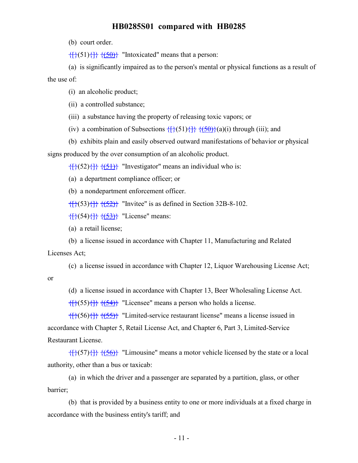(b) court order.

 $\{$ {}(\overline{51}) $\{$  $\}$  $\{$  $\{50\}$ } "Intoxicated" means that a person:

(a) is significantly impaired as to the person's mental or physical functions as a result of the use of:

(i) an alcoholic product;

(ii) a controlled substance;

(iii) a substance having the property of releasing toxic vapors; or

(iv) a combination of Subsections  $\{ \}$ (51) $\{ \}$   $\{ \}$   $\{ \}$ (a)(i) through (iii); and

(b) exhibits plain and easily observed outward manifestations of behavior or physical

signs produced by the over consumption of an alcoholic product.

 $\{\{\} (52)\{\}\}$   $\{\{51\}\}$  "Investigator" means an individual who is:

(a) a department compliance officer; or

(b) a nondepartment enforcement officer.

 $\{$ {}}(53)\{}  $\{$ { $\{52\}$ }</del> "Invitee" is as defined in Section 32B-8-102.

 $\{\{\} (54)\{\}\}$   $\{\{53\}\}$  "License" means:

(a) a retail license;

(b) a license issued in accordance with Chapter 11, Manufacturing and Related

Licenses Act;

(c) a license issued in accordance with Chapter 12, Liquor Warehousing License Act;

or

(d) a license issued in accordance with Chapter 13, Beer Wholesaling License Act.

 $\{ {\}(\overline{\{55\}} \} \}$   $\{ {\}(\overline{\{54\}} \}$  "Licensee" means a person who holds a license.

 $\{\{\}^{(56)}\{\}\}$  (55)} "Limited-service restaurant license" means a license issued in accordance with Chapter 5, Retail License Act, and Chapter 6, Part 3, Limited-Service Restaurant License.

 $\{ {\} \{ {\} \} \}$  { $\{ {\} \}$ }  $\{ {\} \}$  "Limousine" means a motor vehicle licensed by the state or a local authority, other than a bus or taxicab:

(a) in which the driver and a passenger are separated by a partition, glass, or other barrier;

(b) that is provided by a business entity to one or more individuals at a fixed charge in accordance with the business entity's tariff; and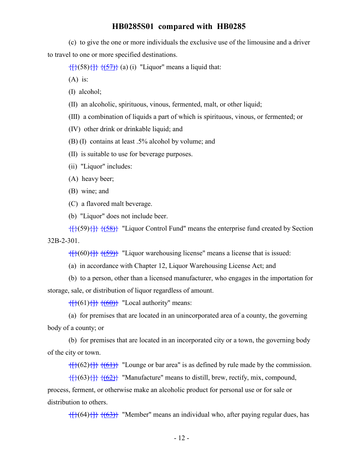(c) to give the one or more individuals the exclusive use of the limousine and a driver to travel to one or more specified destinations.

 $\{ {\uparrow} \}$ (58) $\{ {\uparrow} \}$   $\{ {\uparrow} \}$ (a) (i) "Liquor" means a liquid that:

 $(A)$  is:

(I) alcohol;

(II) an alcoholic, spirituous, vinous, fermented, malt, or other liquid;

(III) a combination of liquids a part of which is spirituous, vinous, or fermented; or

(IV) other drink or drinkable liquid; and

(B) (I) contains at least .5% alcohol by volume; and

(II) is suitable to use for beverage purposes.

(ii) "Liquor" includes:

(A) heavy beer;

(B) wine; and

(C) a flavored malt beverage.

(b) "Liquor" does not include beer.

 $\{ {\}(\{59\}) {\} \}$   $\{ {\}(\{58\}) {\}$  "Liquor Control Fund" means the enterprise fund created by Section 32B-2-301.

 $\{ {\}(\{60\}) {\} \}$   $\{ {\}(\{59\}) {\}$  "Liquor warehousing license" means a license that is issued:

(a) in accordance with Chapter 12, Liquor Warehousing License Act; and

(b) to a person, other than a licensed manufacturer, who engages in the importation for storage, sale, or distribution of liquor regardless of amount.

 $\{ {\uparrow} \}$ (61) $\{ {\uparrow} \}$   $\{ {\uparrow} \}$  "Local authority" means:

(a) for premises that are located in an unincorporated area of a county, the governing body of a county; or

(b) for premises that are located in an incorporated city or a town, the governing body of the city or town.

 $\{ {\}(\{62\}) {\} \}$   $\{ (\{61\}) \}$  "Lounge or bar area" is as defined by rule made by the commission.

 $\{ {\}(\{63\}, {\}(\{62\})\})$  "Manufacture" means to distill, brew, rectify, mix, compound,

process, ferment, or otherwise make an alcoholic product for personal use or for sale or distribution to others.

 $\{ {\}(\{64\}) {\} \}$   $\{ {\}(\{63\}) {\}$  "Member" means an individual who, after paying regular dues, has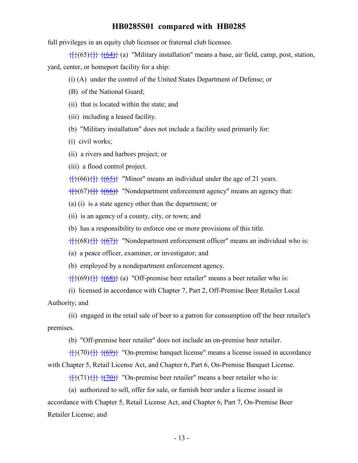full privileges in an equity club licensee or fraternal club licensee.

 $\{ {\}(\{65\}) {\} \}$   $\{ {\}(\{64\}) {\}$  (a) "Military installation" means a base, air field, camp, post, station, yard, center, or homeport facility for a ship:

(i) (A) under the control of the United States Department of Defense; or

- (B) of the National Guard;
- (ii) that is located within the state; and
- (iii) including a leased facility.
- (b) "Military installation" does not include a facility used primarily for:
- (i) civil works;
- (ii) a rivers and harbors project; or

(iii) a flood control project.

 $\{ {\}(\{66\}) {\} \}$   $\{ {\}(\{65\}) {\}$  "Minor" means an individual under the age of 21 years.

 $\{\{\}(67)\{\}\}$   $\{\{66\}\}$  "Nondepartment enforcement agency" means an agency that:

(a) (i) is a state agency other than the department; or

(ii) is an agency of a county, city, or town; and

(b) has a responsibility to enforce one or more provisions of this title.

 $\{ {\}(\{68\}) {\} \}$   $\{ {\}(\{67\}) {\}$  "Nondepartment enforcement officer" means an individual who is:

(a) a peace officer, examiner, or investigator; and

(b) employed by a nondepartment enforcement agency.

 $\{ {\}(\{69\}) {\} \}$   $\{ {\}(\{68\}) {\}$  (a) "Off-premise beer retailer" means a beer retailer who is:

(i) licensed in accordance with Chapter 7, Part 2, Off-Premise Beer Retailer Local Authority; and

(ii) engaged in the retail sale of beer to a patron for consumption off the beer retailer's premises.

(b) "Off-premise beer retailer" does not include an on-premise beer retailer.

 $\{+}(70)\}$   $\{+}(69)\}$  "On-premise banquet license" means a license issued in accordance with Chapter 5, Retail License Act, and Chapter 6, Part 6, On-Premise Banquet License.

 $\{f\}(71)\{\}$   $\{f(70)\}$  "On-premise beer retailer" means a beer retailer who is:

(a) authorized to sell, offer for sale, or furnish beer under a license issued in accordance with Chapter 5, Retail License Act, and Chapter 6, Part 7, On-Premise Beer Retailer License; and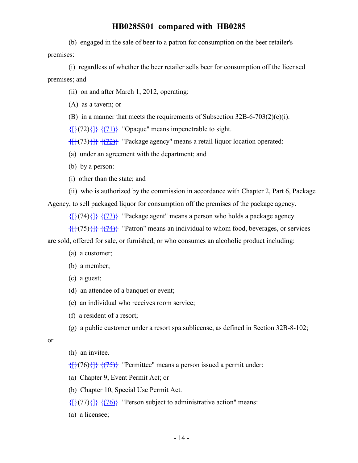(b) engaged in the sale of beer to a patron for consumption on the beer retailer's premises:

(i) regardless of whether the beer retailer sells beer for consumption off the licensed premises; and

(ii) on and after March 1, 2012, operating:

(A) as a tavern; or

(B) in a manner that meets the requirements of Subsection 32B-6-703(2)(e)(i).

 $\{\{\}$ { $\{\}$ (72){ $\}$ }  $\{\{71\}$ } "Opaque" means impenetrable to sight.

 $\{ {\}({}73){}({}+{\}({}72){}+{\}({}72){}+{\}({}72){}+{\}({}72){}({}72){}({}72){}({}72){}({}72){}({}72){}({}72){}({}72){}({}72){}({}72){}({}72){}({}72){}({}72){}({}72){}({}72){}({}72){}({}72){}({}72){}({}72){}({}72){}({}72){}({}72){}({}72){}({}72){}({}72){}({}72){}({}72){}({}72){}({}72){}({}72$ 

(a) under an agreement with the department; and

(b) by a person:

(i) other than the state; and

(ii) who is authorized by the commission in accordance with Chapter 2, Part 6, Package

Agency, to sell packaged liquor for consumption off the premises of the package agency.

 $\{$ {{ $\}$ { $\{$ (73)}</sub> "Package agent" means a person who holds a package agency.

 $\{ {\}({}^{75}) {\} \}$  { $\{ (74)}$ } "Patron" means an individual to whom food, beverages, or services

are sold, offered for sale, or furnished, or who consumes an alcoholic product including:

- (a) a customer;
- (b) a member;
- (c) a guest;
- (d) an attendee of a banquet or event;
- (e) an individual who receives room service;
- (f) a resident of a resort;
- (g) a public customer under a resort spa sublicense, as defined in Section 32B-8-102;

#### or

(h) an invitee.

 $\{ {\}({}76) {\} \} \}$   $\{ {}({}75) {\}$  "Permittee" means a person issued a permit under:

- (a) Chapter 9, Event Permit Act; or
- (b) Chapter 10, Special Use Permit Act.

 $\{$ {}}(77)\}}  $\{$ { $\{76\}$ }</del> "Person subject to administrative action" means:

(a) a licensee;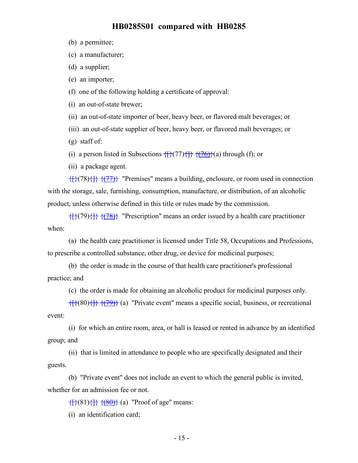- (b) a permittee;
- (c) a manufacturer;
- (d) a supplier;
- (e) an importer;

(f) one of the following holding a certificate of approval:

(i) an out-of-state brewer;

(ii) an out-of-state importer of beer, heavy beer, or flavored malt beverages; or

(iii) an out-of-state supplier of beer, heavy beer, or flavored malt beverages; or

(g) staff of:

(i) a person listed in Subsections  $\{\}$  {(77){ $\}$ }  $\{$  {(76)}(a) through (f); or

(ii) a package agent.

 $\{$ {{{ $\}$ {{ $\{$ { $\}$ }}  $\{$  { $\{$  $\}$ }} "Premises" means a building, enclosure, or room used in connection with the storage, sale, furnishing, consumption, manufacture, or distribution, of an alcoholic product, unless otherwise defined in this title or rules made by the commission.

 $\{ {\} \}$ { $\{ (79) \}$ }  $\{ {\} \}$  "Prescription" means an order issued by a health care practitioner when:

(a) the health care practitioner is licensed under Title 58, Occupations and Professions, to prescribe a controlled substance, other drug, or device for medicinal purposes;

(b) the order is made in the course of that health care practitioner's professional practice; and

(c) the order is made for obtaining an alcoholic product for medicinal purposes only.

 $\{ {\}(\{80\}, {\}(\{79\}) \}$  (a) "Private event" means a specific social, business, or recreational event:

(i) for which an entire room, area, or hall is leased or rented in advance by an identified group; and

(ii) that is limited in attendance to people who are specifically designated and their guests.

(b) "Private event" does not include an event to which the general public is invited, whether for an admission fee or not.

 $\{ {\} (81) {\} \}$   $\{ (80) \}$  (a) "Proof of age" means:

(i) an identification card;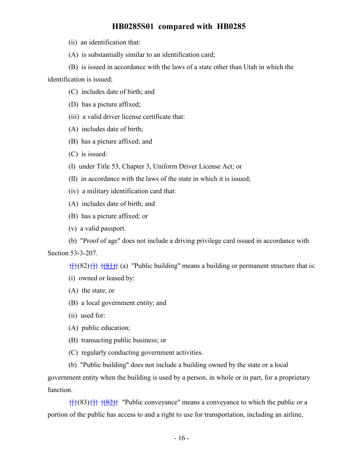(ii) an identification that:

(A) is substantially similar to an identification card;

(B) is issued in accordance with the laws of a state other than Utah in which the identification is issued;

- (C) includes date of birth; and
- (D) has a picture affixed;
- (iii) a valid driver license certificate that:
- (A) includes date of birth;
- (B) has a picture affixed; and
- (C) is issued:
- (I) under Title 53, Chapter 3, Uniform Driver License Act; or
- (II) in accordance with the laws of the state in which it is issued;
- (iv) a military identification card that:
- (A) includes date of birth; and
- (B) has a picture affixed; or
- (v) a valid passport.

(b) "Proof of age" does not include a driving privilege card issued in accordance with Section 53-3-207.

 $\{ {\}(\{82\},\{\} \}({\&1})$  (a) "Public building" means a building or permanent structure that is:

- (i) owned or leased by:
- (A) the state; or
- (B) a local government entity; and
- (ii) used for:
- (A) public education;
- (B) transacting public business; or
- (C) regularly conducting government activities.

(b) "Public building" does not include a building owned by the state or a local government entity when the building is used by a person, in whole or in part, for a proprietary function.

 $\{ {\}({}^{8}(\{83\})\} \}$  ({\\times\$\left{4}\} "Public conveyance" means a conveyance to which the public or a portion of the public has access to and a right to use for transportation, including an airline,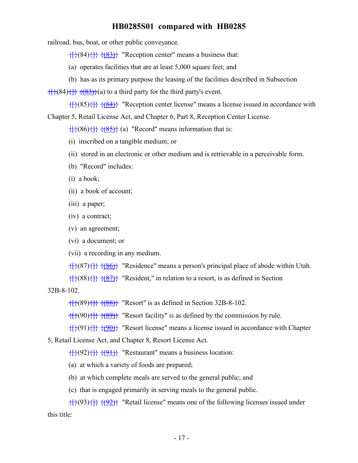railroad, bus, boat, or other public conveyance.

 $\{ {\} (84) {\} \} \{ {\} (83) \}$  "Reception center" means a business that:

(a) operates facilities that are at least 5,000 square feet; and

(b) has as its primary purpose the leasing of the facilities described in Subsection

 $\{ {\} (84) {\} \}$   $\{ (83) \}$  (a) to a third party for the third party's event.

 $\{}(85)\}$   $\{(84)\}$  "Reception center license" means a license issued in accordance with Chapter 5, Retail License Act, and Chapter 6, Part 8, Reception Center License.

 $\{ {\}({}^{86}) {\} \}$  { $({}^{85})$ } (a) "Record" means information that is:

- (i) inscribed on a tangible medium; or
- (ii) stored in an electronic or other medium and is retrievable in a perceivable form.
- (b) "Record" includes:
- (i) a book;
- (ii) a book of account;
- (iii) a paper;
- (iv) a contract;
- (v) an agreement;
- (vi) a document; or
- (vii) a recording in any medium.

 $\{ {\}(\{87\} \} \}$   $\{ {\}(\{86\} \}$  "Residence" means a person's principal place of abode within Utah.

 $\{\{\}(\{88\},\{\}\})$  "Resident," in relation to a resort, is as defined in Section

32B-8-102.

 $\{$ {}(89){ $\}$ }  $\{$ { $\{88\}$ }</del> "Resort" is as defined in Section 32B-8-102.

 $\{ {\} (90) {\} \}$  { $\{ (89) \}$ } "Resort facility" is as defined by the commission by rule.

 $\{ {\hat{f}} \}({91}) {\hat{f}} \} {\hat{f}}({90})$  "Resort license" means a license issued in accordance with Chapter

5, Retail License Act, and Chapter 8, Resort License Act.

 $\{ {\uparrow} \}$ (92) $\{ {\uparrow} \}$   $\{ {\uparrow} \}$  "Restaurant" means a business location:

(a) at which a variety of foods are prepared;

(b) at which complete meals are served to the general public; and

(c) that is engaged primarily in serving meals to the general public.

 $\{\{\} (93)\{\}\}$   $\{\{92\}\}$  "Retail license" means one of the following licenses issued under this title: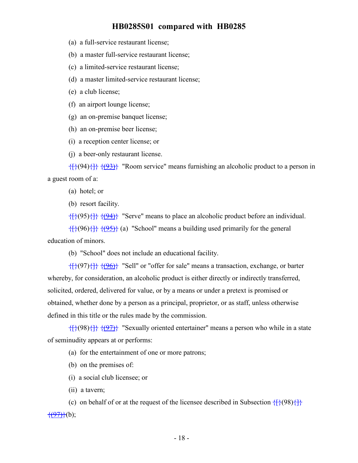- (a) a full-service restaurant license;
- (b) a master full-service restaurant license;
- (c) a limited-service restaurant license;
- (d) a master limited-service restaurant license;
- (e) a club license;
- (f) an airport lounge license;
- (g) an on-premise banquet license;
- (h) an on-premise beer license;
- (i) a reception center license; or
- (j) a beer-only restaurant license.

 $\{\{\} (94)\{\}\}$   $\{\{93\}\}$  "Room service" means furnishing an alcoholic product to a person in a guest room of a:

(a) hotel; or

(b) resort facility.

 $\{ {\}(\{95\}) {\} \}$   $\{ {\}(\{94\}) {\}$  "Serve" means to place an alcoholic product before an individual.

 $\{ {\}({}^{96}) {\} \}$  { $\{ 95}$ } (a) "School" means a building used primarily for the general education of minors.

(b) "School" does not include an educational facility.

 $\{\{\}^{(97)}\{\}\}$   $\{\{96\}\}$  "Sell" or "offer for sale" means a transaction, exchange, or barter whereby, for consideration, an alcoholic product is either directly or indirectly transferred, solicited, ordered, delivered for value, or by a means or under a pretext is promised or obtained, whether done by a person as a principal, proprietor, or as staff, unless otherwise defined in this title or the rules made by the commission.

 $\{ {\}(\{98\}) {\} \}$   $\{ {\}(\{97\}) {\}$  "Sexually oriented entertainer" means a person who while in a state of seminudity appears at or performs:

(a) for the entertainment of one or more patrons;

- (b) on the premises of:
- (i) a social club licensee; or
- (ii) a tavern;

(c) on behalf of or at the request of the licensee described in Subsection  $\{\{\} (98)\{\}$  $\{\sqrt{97}\}(b)$ ;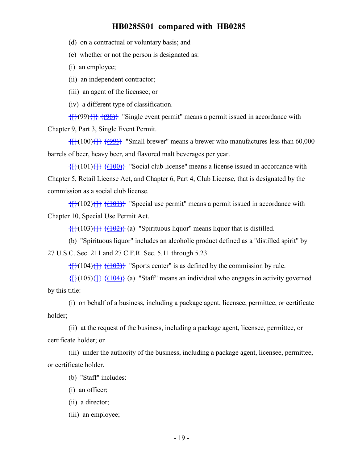(d) on a contractual or voluntary basis; and

(e) whether or not the person is designated as:

(i) an employee;

(ii) an independent contractor;

(iii) an agent of the licensee; or

(iv) a different type of classification.

 $\{\{\}(\{99\})\{\}\}$  (98)} "Single event permit" means a permit issued in accordance with Chapter 9, Part 3, Single Event Permit.

 $\{$ {}}(100)\}}  $\{$ {(99)}</del> "Small brewer" means a brewer who manufactures less than 60,000 barrels of beer, heavy beer, and flavored malt beverages per year.

 $\{$ {}}(101)\}}  $\{$ { $\{100\}$ }</del> "Social club license" means a license issued in accordance with Chapter 5, Retail License Act, and Chapter 6, Part 4, Club License, that is designated by the commission as a social club license.

 $\{$ {{{101}}} "Special use permit" means a permit issued in accordance with Chapter 10, Special Use Permit Act.

 $\{ {\} \{ (103) {\} \} \}$   $\{ (102) \}$  (a) "Spirituous liquor" means liquor that is distilled.

(b) "Spirituous liquor" includes an alcoholic product defined as a "distilled spirit" by 27 U.S.C. Sec. 211 and 27 C.F.R. Sec. 5.11 through 5.23.

 $\{ {\} \{ (104) {\} \} \}$   $\{ (103) \}$  "Sports center" is as defined by the commission by rule.

 $\{$ {{104}} (a) "Staff" means an individual who engages in activity governed by this title:

(i) on behalf of a business, including a package agent, licensee, permittee, or certificate holder;

(ii) at the request of the business, including a package agent, licensee, permittee, or certificate holder; or

(iii) under the authority of the business, including a package agent, licensee, permittee, or certificate holder.

(b) "Staff" includes:

(i) an officer;

(ii) a director;

(iii) an employee;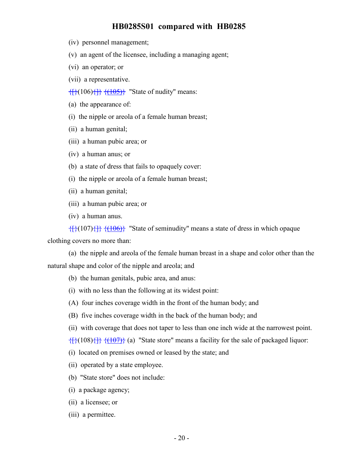- (iv) personnel management;
- (v) an agent of the licensee, including a managing agent;
- (vi) an operator; or
- (vii) a representative.
- $\{$ \}({106}){ $\}$ }  $\{$ {(105)}</del> "State of nudity" means:
- (a) the appearance of:
- (i) the nipple or areola of a female human breast;
- (ii) a human genital;
- (iii) a human pubic area; or
- (iv) a human anus; or
- (b) a state of dress that fails to opaquely cover:
- (i) the nipple or areola of a female human breast;
- (ii) a human genital;
- (iii) a human pubic area; or
- (iv) a human anus.

 $\{\{\} (107)\{\}\}$   $\{\{106\}\}$  "State of seminudity" means a state of dress in which opaque

clothing covers no more than:

(a) the nipple and areola of the female human breast in a shape and color other than the natural shape and color of the nipple and areola; and

- (b) the human genitals, pubic area, and anus:
- (i) with no less than the following at its widest point:
- (A) four inches coverage width in the front of the human body; and
- (B) five inches coverage width in the back of the human body; and
- (ii) with coverage that does not taper to less than one inch wide at the narrowest point.
- $\{ {\} \{ (108) \} \}$   $\{ (107) \}$  (a) "State store" means a facility for the sale of packaged liquor:
- (i) located on premises owned or leased by the state; and
- (ii) operated by a state employee.
- (b) "State store" does not include:
- (i) a package agency;
- (ii) a licensee; or
- (iii) a permittee.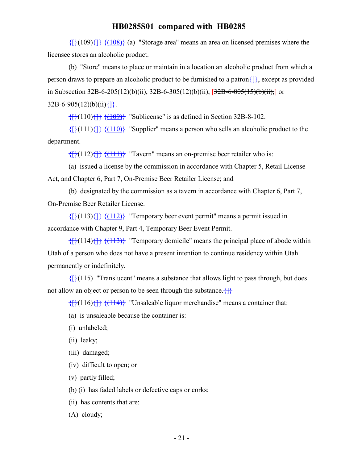$\{+}(109)\{\}$   $\{+}(108)\}$  (a) "Storage area" means an area on licensed premises where the licensee stores an alcoholic product.

(b) "Store" means to place or maintain in a location an alcoholic product from which a person draws to prepare an alcoholic product to be furnished to a patron $\{\}$ , except as provided in Subsection 32B-6-205(12)(b)(ii), 32B-6-305(12)(b)(ii),  $[32B-6-805(15)(b)(ii)$ ,  $[0, 10]$  or  $32B-6-905(12)(b)(ii)$ 

 $\{$ {}}(110)\{}  $\{$ { $\{109\}$ }</del> "Sublicense" is as defined in Section 32B-8-102.

 $\{ {\} \{ {111} \} \}$   $\{ {110} \}$  "Supplier" means a person who sells an alcoholic product to the department.

 $\{ {\} (112) {\} \}$   $\{ {\} (111) \}$  "Tavern" means an on-premise beer retailer who is:

(a) issued a license by the commission in accordance with Chapter 5, Retail License Act, and Chapter 6, Part 7, On-Premise Beer Retailer License; and

(b) designated by the commission as a tavern in accordance with Chapter 6, Part 7, On-Premise Beer Retailer License.

 $\{f\}(113)\{\}$   $\{f\}(112)\}$  "Temporary beer event permit" means a permit issued in accordance with Chapter 9, Part 4, Temporary Beer Event Permit.

 $({114})$ }  $({113})$  "Temporary domicile" means the principal place of abode within Utah of a person who does not have a present intention to continue residency within Utah permanently or indefinitely.

 $\{$  $\{$  $\}$  $\{$  $\}$ (115) "Translucent" means a substance that allows light to pass through, but does not allow an object or person to be seen through the substance.  $\{\}$ 

 $\{$ {{{114}}} "Unsaleable liquor merchandise" means a container that:

- (a) is unsaleable because the container is:
- (i) unlabeled;
- (ii) leaky;
- (iii) damaged;
- (iv) difficult to open; or
- (v) partly filled;

(b) (i) has faded labels or defective caps or corks;

- (ii) has contents that are:
- (A) cloudy;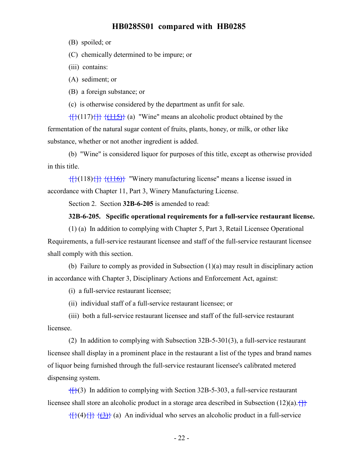(B) spoiled; or

(C) chemically determined to be impure; or

- (iii) contains:
- (A) sediment; or
- (B) a foreign substance; or

(c) is otherwise considered by the department as unfit for sale.

 $\{\{\} (117)\{\}\}$   $\{\{\underline{115}\}\}$  (a) "Wine" means an alcoholic product obtained by the fermentation of the natural sugar content of fruits, plants, honey, or milk, or other like substance, whether or not another ingredient is added.

(b) "Wine" is considered liquor for purposes of this title, except as otherwise provided in this title.

 $\{$ {{ $\}$ {(118)}}  $\{$ {(116)}</del> "Winery manufacturing license" means a license issued in accordance with Chapter 11, Part 3, Winery Manufacturing License.

Section 2. Section **32B-6-205** is amended to read:

#### **32B-6-205. Specific operational requirements for a full-service restaurant license.**

(1) (a) In addition to complying with Chapter 5, Part 3, Retail Licensee Operational Requirements, a full-service restaurant licensee and staff of the full-service restaurant licensee shall comply with this section.

(b) Failure to comply as provided in Subsection (1)(a) may result in disciplinary action in accordance with Chapter 3, Disciplinary Actions and Enforcement Act, against:

(i) a full-service restaurant licensee;

(ii) individual staff of a full-service restaurant licensee; or

(iii) both a full-service restaurant licensee and staff of the full-service restaurant licensee.

(2) In addition to complying with Subsection 32B-5-301(3), a full-service restaurant licensee shall display in a prominent place in the restaurant a list of the types and brand names of liquor being furnished through the full-service restaurant licensee's calibrated metered dispensing system.

 ${f}$ (3) In addition to complying with Section 32B-5-303, a full-service restaurant licensee shall store an alcoholic product in a storage area described in Subsection (12)(a). $\{\}$ 

 $\{ {\uparrow} \}$  $\{ {\downarrow} \}$  $\{ {\uparrow} \}$  $\{ {\downarrow} \}$  $\{ {\downarrow} \}$  (a) An individual who serves an alcoholic product in a full-service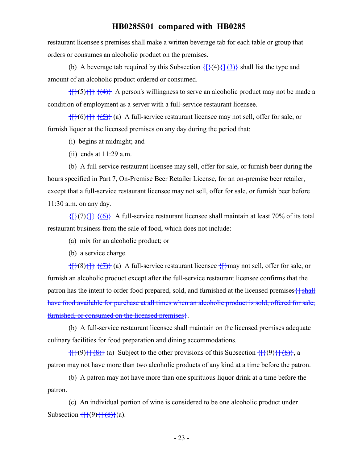restaurant licensee's premises shall make a written beverage tab for each table or group that orders or consumes an alcoholic product on the premises.

(b) A beverage tab required by this Subsection  $\{\{\}(4)\{\{\}(\})\}$  shall list the type and amount of an alcoholic product ordered or consumed.

 $\{ {\}(\})\{\}$  { $\{ 4\}$ } A person's willingness to serve an alcoholic product may not be made a condition of employment as a server with a full-service restaurant licensee.

 $\{f\}(6)$  { $\{f\}(6)$ }  $\{f\}(6)$  { $\{f\}(6)$ } (a) A full-service restaurant licensee may not sell, offer for sale, or furnish liquor at the licensed premises on any day during the period that:

- (i) begins at midnight; and
- (ii) ends at 11:29 a.m.

(b) A full-service restaurant licensee may sell, offer for sale, or furnish beer during the hours specified in Part 7, On-Premise Beer Retailer License, for an on-premise beer retailer, except that a full-service restaurant licensee may not sell, offer for sale, or furnish beer before 11:30 a.m. on any day.

 $\{f\}(7)\}$  { $\{6\}$ } A full-service restaurant licensee shall maintain at least 70% of its total restaurant business from the sale of food, which does not include:

(a) mix for an alcoholic product; or

(b) a service charge.

 $\{\}$ (8) $\{\}$   $\{\{7\}$  (a) A full-service restaurant licensee  $\{\}$  may not sell, offer for sale, or furnish an alcoholic product except after the full-service restaurant licensee confirms that the patron has the intent to order food prepared, sold, and furnished at the licensed premises  $\frac{1}{2}$  shall have food available for purchase at all times when an alcoholic product is sold, offered for sale, furnished, or consumed on the licensed premises}.

(b) A full-service restaurant licensee shall maintain on the licensed premises adequate culinary facilities for food preparation and dining accommodations.

 $\{ {\}(\{9\}, {\}(\{8\}) \}$  (a) Subject to the other provisions of this Subsection  $\{ {\}(\{9\}, {\}(\{8\}) \}$ , a patron may not have more than two alcoholic products of any kind at a time before the patron.

(b) A patron may not have more than one spirituous liquor drink at a time before the patron.

(c) An individual portion of wine is considered to be one alcoholic product under Subsection  $\{\{\}(\cdot)\}\{\{\}(\cdot)\}$  (a).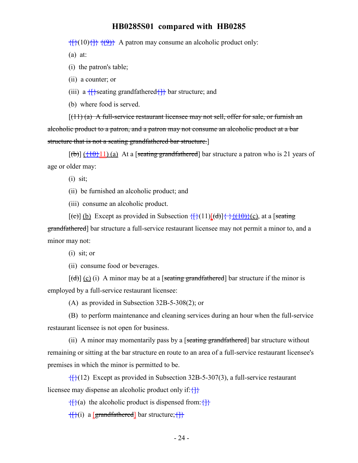$\{ {\hat{f}} \}$ (10) $\{ {\hat{f}} \}$   $\{ {\hat{g}} \}$  A patron may consume an alcoholic product only:

(a) at:

(i) the patron's table;

(ii) a counter; or

(iii) a  $\{\}$ seating grandfathered $\{\}$  bar structure; and

(b) where food is served.

 $[(11)(a)$  A full-service restaurant licensee may not sell, offer for sale, or furnish an alcoholic product to a patron, and a patron may not consume an alcoholic product at a bar structure that is not a seating grandfathered bar structure.]

 $[(b)]$   $(40)$  11) (a) At a [seating grandfathered] bar structure a patron who is 21 years of age or older may:

(i) sit;

(ii) be furnished an alcoholic product; and

(iii) consume an alcoholic product.

 $[(e)] (b)$  Except as provided in Subsection  $\{\}$  (11) $[(d)] \{\}$  (1+0) $\}$  (c), at a [seating grandfathered] bar structure a full-service restaurant licensee may not permit a minor to, and a minor may not:

(i) sit; or

(ii) consume food or beverages.

 $[\text{(\text{d})}]$  (c) (i) A minor may be at a [seating grandfathered] bar structure if the minor is employed by a full-service restaurant licensee:

(A) as provided in Subsection 32B-5-308(2); or

(B) to perform maintenance and cleaning services during an hour when the full-service restaurant licensee is not open for business.

(ii) A minor may momentarily pass by a [seating grandfathered] bar structure without remaining or sitting at the bar structure en route to an area of a full-service restaurant licensee's premises in which the minor is permitted to be.

 ${f}{f}(12)$  Except as provided in Subsection 32B-5-307(3), a full-service restaurant licensee may dispense an alcoholic product only if: $\{ \}$ 

 $\{\}$ (a) the alcoholic product is dispensed from:

 ${f}{i}$ (i) a [grandfathered] bar structure; ${f}{f}$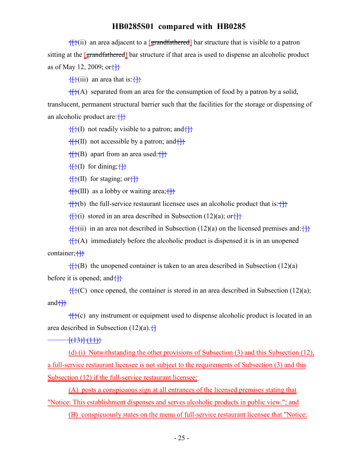${f}(\mathbf{ii})$  an area adjacent to a [grandfathered] bar structure that is visible to a patron sitting at the **[grandfathered]** bar structure if that area is used to dispense an alcoholic product as of May 12, 2009; or $\{\}$ 

 $\{$  $\{$  $\}$  $\{$  $\}$  $\{$  $\}$  an area that is:  $\{$  $\}$ 

 $\{f\}(A)$  separated from an area for the consumption of food by a patron by a solid, translucent, permanent structural barrier such that the facilities for the storage or dispensing of an alcoholic product are: $\{\}$ 

 $\{\}$ (I) not readily visible to a patron; and  $\{\}$ 

 $\{\}$ (II) not accessible by a patron; and  $\{\}$ 

 $\{f\}(B)$  apart from an area used: $\{f\}$ 

 $\{ {\} \}$ (I) for dining;  $\{ {\} \}$ 

 $\{[\}(\Pi)$  for staging; or  $\{\}$ 

 $\{$ \}(III) as a lobby or waiting area;  $\{$ \}

 ${f}{f}(b)$  the full-service restaurant licensee uses an alcoholic product that is: ${f}{f}$ 

 $\{f\}(i)$  stored in an area described in Subsection (12)(a); or  $\{f\}$ 

 ${f}$ (ii) in an area not described in Subsection (12)(a) on the licensed premises and: ${f}$ 

 ${f}{f}(A)$  immediately before the alcoholic product is dispensed it is in an unopened container; $\{\}$ 

 ${f}{f}(B)$  the unopened container is taken to an area described in Subsection (12)(a) before it is opened; and  $\{ \}$ 

 $f_{\rm H}^{4}$ (C) once opened, the container is stored in an area described in Subsection (12)(a); and $\{\}$ 

 ${f}(\mathbf{k})$  any instrument or equipment used to dispense alcoholic product is located in an area described in Subsection  $(12)(a)$ .  $\left\{ \right\}$ 

 $\frac{+(13)}{(11)}$ 

(d) (i) Notwithstanding the other provisions of Subsection (3) and this Subsection (12), a full-service restaurant licensee is not subject to the requirements of Subsection (3) and this Subsection (12) if the full-service restaurant licensee:

(A) posts a conspicuous sign at all entrances of the licensed premises stating that "Notice: This establishment dispenses and serves alcoholic products in public view."; and

(B) conspicuously states on the menu of full-service restaurant licensee that "Notice: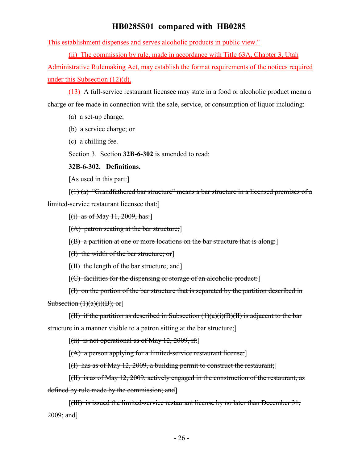This establishment dispenses and serves alcoholic products in public view."

(ii) The commission by rule, made in accordance with Title 63A, Chapter 3, Utah

Administrative Rulemaking Act, may establish the format requirements of the notices required under this Subsection (12)(d).

(13) A full-service restaurant licensee may state in a food or alcoholic product menu a charge or fee made in connection with the sale, service, or consumption of liquor including:

(a) a set-up charge;

(b) a service charge; or

(c) a chilling fee.

Section 3. Section **32B-6-302** is amended to read:

**32B-6-302. Definitions.**

[As used in this part:]

 $[(1)$  (a) "Grandfathered bar structure" means a bar structure in a licensed premises of a limited-service restaurant licensee that:

 $[(i)$  as of May 11, 2009, has:

 $[(A)$  patron seating at the bar structure;

 $[(B)$  a partition at one or more locations on the bar structure that is along:

 $[(1)$  the width of the bar structure; or

 $[({\rm H})$  the length of the bar structure; and  $]$ 

 $[(C)$  facilities for the dispensing or storage of an alcoholic product:

[(I) on the portion of the bar structure that is separated by the partition described in Subsection  $(1)(a)(i)(B)$ ; or

 $[H]$  if the partition as described in Subsection (1)(a)(i)(B)(II) is adjacent to the bar

structure in a manner visible to a patron sitting at the bar structure;]

 $[(iii)$  is not operational as of May 12, 2009, if:

 $[(A)$  a person applying for a limited-service restaurant license:

 $[(1)$  has as of May 12, 2009, a building permit to construct the restaurant;

[(II) is as of May 12, 2009, actively engaged in the construction of the restaurant, as defined by rule made by the commission; and]

[(III) is issued the limited-service restaurant license by no later than December 31, 2009; and]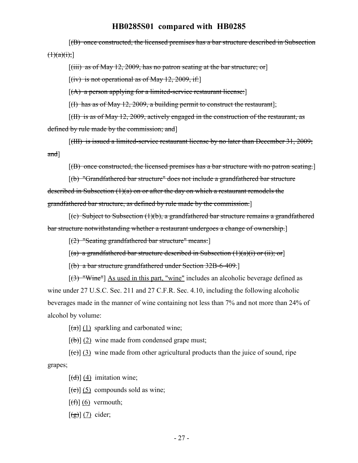[(B) once constructed, the licensed premises has a bar structure described in Subsection  $(1)(a)(i);$ 

 $[(iii)$  as of May 12, 2009, has no patron seating at the bar structure; or

 $[(iv)$  is not operational as of May 12, 2009, if:

 $[(A)$  a person applying for a limited-service restaurant license:

 $[(1)$  has as of May 12, 2009, a building permit to construct the restaurant];

 $[(\text{III})$  is as of May 12, 2009, actively engaged in the construction of the restaurant, as defined by rule made by the commission; and]

[(III) is issued a limited-service restaurant license by no later than December 31, 2009; and]

[(B) once constructed, the licensed premises has a bar structure with no patron seating.]

[(b) "Grandfathered bar structure" does not include a grandfathered bar structure described in Subsection (1)(a) on or after the day on which a restaurant remodels the grandfathered bar structure, as defined by rule made by the commission.]

 $[(c)$  Subject to Subsection  $(1)(b)$ , a grandfathered bar structure remains a grandfathered bar structure notwithstanding whether a restaurant undergoes a change of ownership.]

[(2) "Seating grandfathered bar structure" means:]

 $[(a)$  a grandfathered bar structure described in Subsection  $(1)(a)(i)$  or  $(ii);$  or

[(b) a bar structure grandfathered under Section 32B-6-409.]

[(3) "Wine"] As used in this part, "wine" includes an alcoholic beverage defined as wine under 27 U.S.C. Sec. 211 and 27 C.F.R. Sec. 4.10, including the following alcoholic beverages made in the manner of wine containing not less than 7% and not more than 24% of alcohol by volume:

 $\left[\frac{(\mathbf{a})}{(1)}\right]$  sparkling and carbonated wine;

 $[\phi](2)$  wine made from condensed grape must;

 $[\text{e}(\epsilon)]$  (3) wine made from other agricultural products than the juice of sound, ripe grapes;

 $[\overline{(d)}](4)$  imitation wine;

 $[\text{e}(\text{e})]$  (5) compounds sold as wine;

 $[f(f)]$  (6) vermouth;

 $\lceil (g) \rceil$  (7) cider;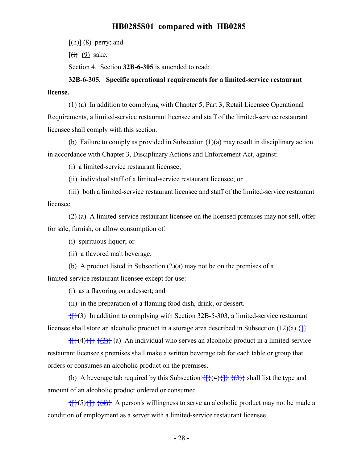$[\frac{h}{\hbar}](8)$  perry; and

 $[(\overrightarrow{t})](9)$  sake.

Section 4. Section **32B-6-305** is amended to read:

**32B-6-305. Specific operational requirements for a limited-service restaurant license.**

(1) (a) In addition to complying with Chapter 5, Part 3, Retail Licensee Operational Requirements, a limited-service restaurant licensee and staff of the limited-service restaurant licensee shall comply with this section.

(b) Failure to comply as provided in Subsection (1)(a) may result in disciplinary action in accordance with Chapter 3, Disciplinary Actions and Enforcement Act, against:

(i) a limited-service restaurant licensee;

(ii) individual staff of a limited-service restaurant licensee; or

(iii) both a limited-service restaurant licensee and staff of the limited-service restaurant licensee.

(2) (a) A limited-service restaurant licensee on the licensed premises may not sell, offer for sale, furnish, or allow consumption of:

(i) spirituous liquor; or

(ii) a flavored malt beverage.

(b) A product listed in Subsection (2)(a) may not be on the premises of a

limited-service restaurant licensee except for use:

(i) as a flavoring on a dessert; and

(ii) in the preparation of a flaming food dish, drink, or dessert.

 ${f}$ {{}(3) In addition to complying with Section 32B-5-303, a limited-service restaurant licensee shall store an alcoholic product in a storage area described in Subsection (12)(a).  $\{\}$ 

 $\{ {\} \{ {\} \} \}$   $\{ {\} \}$  (a) An individual who serves an alcoholic product in a limited-service restaurant licensee's premises shall make a written beverage tab for each table or group that orders or consumes an alcoholic product on the premises.

(b) A beverage tab required by this Subsection  $\{\{\}(\{4\}, \{\} \})$  shall list the type and amount of an alcoholic product ordered or consumed.

 $\{ {\}(\{5\}) {\} \}$  { $\{ (4) \}$ }. A person's willingness to serve an alcoholic product may not be made a condition of employment as a server with a limited-service restaurant licensee.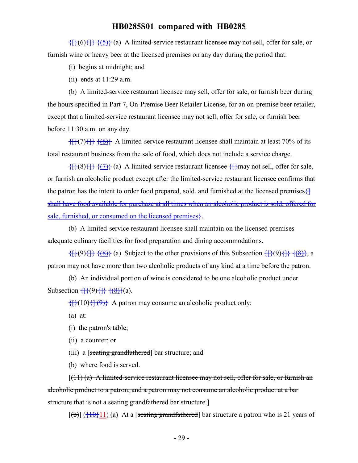$\{ {\}(\{6\}) {\} \}$   $\{ {\}(\{5\}) {\}$  (a) A limited-service restaurant licensee may not sell, offer for sale, or furnish wine or heavy beer at the licensed premises on any day during the period that:

- (i) begins at midnight; and
- (ii) ends at 11:29 a.m.

(b) A limited-service restaurant licensee may sell, offer for sale, or furnish beer during the hours specified in Part 7, On-Premise Beer Retailer License, for an on-premise beer retailer, except that a limited-service restaurant licensee may not sell, offer for sale, or furnish beer before 11:30 a.m. on any day.

 $\{f\}(7)\}$  { $\{6\}$ }</sub> A limited-service restaurant licensee shall maintain at least 70% of its total restaurant business from the sale of food, which does not include a service charge.

 $\{$ {{{}}}  $\{$ {{7}}</sub> (a) A limited-service restaurant licensee { $\{$ } may not sell, offer for sale, or furnish an alcoholic product except after the limited-service restaurant licensee confirms that the patron has the intent to order food prepared, sold, and furnished at the licensed premises $\pm$ shall have food available for purchase at all times when an alcoholic product is sold, offered for sale, furnished, or consumed on the licensed premises}.

(b) A limited-service restaurant licensee shall maintain on the licensed premises adequate culinary facilities for food preparation and dining accommodations.

 $\{\{\}\{9\}\}\$   $\{\{8\}\}$  (a) Subject to the other provisions of this Subsection  $\{\{\}\{9\}\}\$   $\{\{8\}\}\$ , a patron may not have more than two alcoholic products of any kind at a time before the patron.

(b) An individual portion of wine is considered to be one alcoholic product under Subsection  $\{[\}(\{9\}, \{\} \}, \{8\}, \{a\})$ .

 $\{ {\} (10) {\} \{ (\frac{9}{2}) \}$  A patron may consume an alcoholic product only:

- (a) at:
- (i) the patron's table;
- (ii) a counter; or
- (iii) a [seating grandfathered] bar structure; and
- (b) where food is served.

 $(11)$  (a) A limited-service restaurant licensee may not sell, offer for sale, or furnish an alcoholic product to a patron, and a patron may not consume an alcoholic product at a bar structure that is not a seating grandfathered bar structure.]

 $[(b)]$   $(\frac{10}{11})(a)$  At a [seating grandfathered] bar structure a patron who is 21 years of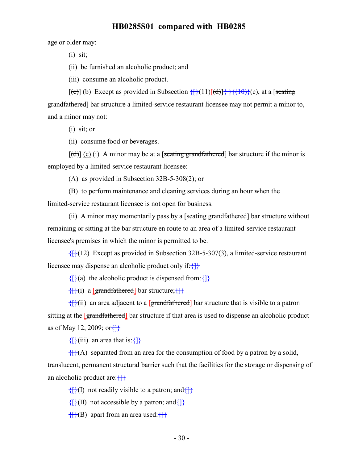age or older may:

(i) sit;

(ii) be furnished an alcoholic product; and

(iii) consume an alcoholic product.

 $[(e)] (b)$  Except as provided in Subsection  $\{\} (11)[(d)] \{\} \{ (10)\} (c)$ , at a [seating] grandfathered] bar structure a limited-service restaurant licensee may not permit a minor to, and a minor may not:

(i) sit; or

(ii) consume food or beverages.

 $[(d)] (c) (i)$  A minor may be at a [seating grandfathered] bar structure if the minor is employed by a limited-service restaurant licensee:

(A) as provided in Subsection 32B-5-308(2); or

(B) to perform maintenance and cleaning services during an hour when the limited-service restaurant licensee is not open for business.

(ii) A minor may momentarily pass by a [seating grandfathered] bar structure without remaining or sitting at the bar structure en route to an area of a limited-service restaurant licensee's premises in which the minor is permitted to be.

 $\{$  $\{$  $\}$ (12) Except as provided in Subsection 32B-5-307(3), a limited-service restaurant licensee may dispense an alcoholic product only if: $\{\}$ 

 $\{ \}$ (a) the alcoholic product is dispensed from:

 ${f}{i}$ (i) a [grandfathered] bar structure; ${f}{f}$ 

 ${f}(\text{ii})$  an area adjacent to a [grandfathered] bar structure that is visible to a patron sitting at the [grandfathered] bar structure if that area is used to dispense an alcoholic product as of May 12, 2009; or $\{\}$ 

 $\{$  $\{$  $\}$  $\{$  $\}$  $\{$  $\}$  an area that is:  $\{$  $\}$ 

 ${f}{f}(A)$  separated from an area for the consumption of food by a patron by a solid, translucent, permanent structural barrier such that the facilities for the storage or dispensing of an alcoholic product are: $\{\}$ 

 $\{f\}(I)$  not readily visible to a patron; and  $\{f\}$ 

 $\{$  $\}$ (II) not accessible by a patron; and  $\{$ }

 $\{ {\} \} (B)$  apart from an area used: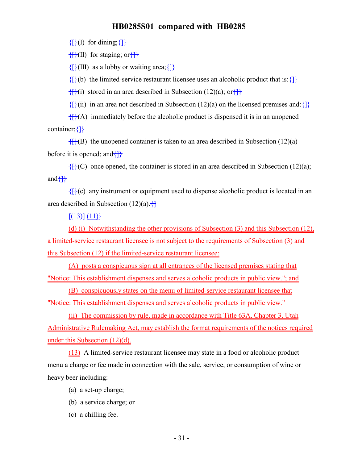$\{f\}(I)$  for dining;  $\{f\}$ 

 $\{f\}(II)$  for staging; or  $\{f\}$ 

 $\{$  $\{$  $\}$ (III) as a lobby or waiting area; $\{$ }

 ${f}{f}(b)$  the limited-service restaurant licensee uses an alcoholic product that is: ${f}{f}$ 

 ${f}{f}(i)$  stored in an area described in Subsection (12)(a); or  ${f}{f}$ 

 ${f}{f}(ii)$  in an area not described in Subsection (12)(a) on the licensed premises and: ${f}{f}$ 

 ${f}{f}(A)$  immediately before the alcoholic product is dispensed it is in an unopened container; {}

 ${f}{f}(B)$  the unopened container is taken to an area described in Subsection (12)(a) before it is opened; and  $\{\}$ 

 ${f}$ { $f$ }(C) once opened, the container is stored in an area described in Subsection (12)(a); and $\{\}$ 

 ${f}(\mathbf{k})$  any instrument or equipment used to dispense alcoholic product is located in an area described in Subsection  $(12)(a)$ .  $\Box$ 

 $\frac{1}{1}$ (13)] (11)}

(d) (i) Notwithstanding the other provisions of Subsection (3) and this Subsection (12), a limited-service restaurant licensee is not subject to the requirements of Subsection (3) and this Subsection (12) if the limited-service restaurant licensee:

(A) posts a conspicuous sign at all entrances of the licensed premises stating that "Notice: This establishment dispenses and serves alcoholic products in public view."; and

(B) conspicuously states on the menu of limited-service restaurant licensee that "Notice: This establishment dispenses and serves alcoholic products in public view."

(ii) The commission by rule, made in accordance with Title 63A, Chapter 3, Utah Administrative Rulemaking Act, may establish the format requirements of the notices required under this Subsection (12)(d).

(13) A limited-service restaurant licensee may state in a food or alcoholic product menu a charge or fee made in connection with the sale, service, or consumption of wine or heavy beer including:

(a) a set-up charge;

- (b) a service charge; or
- (c) a chilling fee.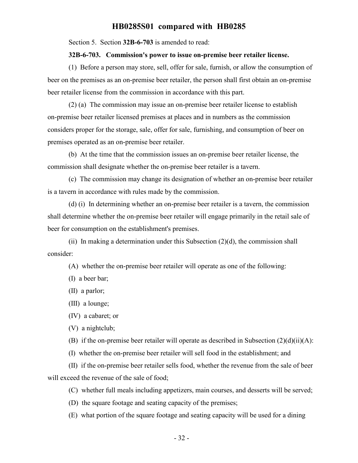Section 5. Section **32B-6-703** is amended to read:

#### **32B-6-703. Commission's power to issue on-premise beer retailer license.**

(1) Before a person may store, sell, offer for sale, furnish, or allow the consumption of beer on the premises as an on-premise beer retailer, the person shall first obtain an on-premise beer retailer license from the commission in accordance with this part.

(2) (a) The commission may issue an on-premise beer retailer license to establish on-premise beer retailer licensed premises at places and in numbers as the commission considers proper for the storage, sale, offer for sale, furnishing, and consumption of beer on premises operated as an on-premise beer retailer.

(b) At the time that the commission issues an on-premise beer retailer license, the commission shall designate whether the on-premise beer retailer is a tavern.

(c) The commission may change its designation of whether an on-premise beer retailer is a tavern in accordance with rules made by the commission.

(d) (i) In determining whether an on-premise beer retailer is a tavern, the commission shall determine whether the on-premise beer retailer will engage primarily in the retail sale of beer for consumption on the establishment's premises.

(ii) In making a determination under this Subsection  $(2)(d)$ , the commission shall consider:

(A) whether the on-premise beer retailer will operate as one of the following:

(I) a beer bar;

(II) a parlor;

(III) a lounge;

(IV) a cabaret; or

(V) a nightclub;

(B) if the on-premise beer retailer will operate as described in Subsection  $(2)(d)(ii)(A)$ :

(I) whether the on-premise beer retailer will sell food in the establishment; and

(II) if the on-premise beer retailer sells food, whether the revenue from the sale of beer will exceed the revenue of the sale of food;

(C) whether full meals including appetizers, main courses, and desserts will be served;

(D) the square footage and seating capacity of the premises;

(E) what portion of the square footage and seating capacity will be used for a dining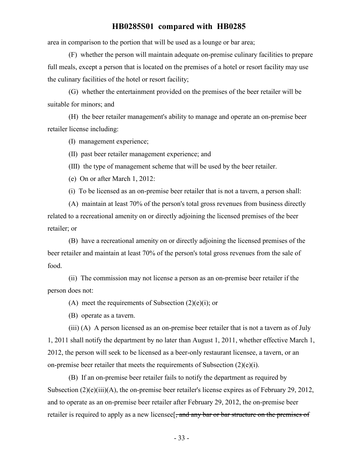area in comparison to the portion that will be used as a lounge or bar area;

(F) whether the person will maintain adequate on-premise culinary facilities to prepare full meals, except a person that is located on the premises of a hotel or resort facility may use the culinary facilities of the hotel or resort facility;

(G) whether the entertainment provided on the premises of the beer retailer will be suitable for minors; and

(H) the beer retailer management's ability to manage and operate an on-premise beer retailer license including:

(I) management experience;

(II) past beer retailer management experience; and

(III) the type of management scheme that will be used by the beer retailer.

(e) On or after March 1, 2012:

(i) To be licensed as an on-premise beer retailer that is not a tavern, a person shall:

(A) maintain at least 70% of the person's total gross revenues from business directly related to a recreational amenity on or directly adjoining the licensed premises of the beer retailer; or

(B) have a recreational amenity on or directly adjoining the licensed premises of the beer retailer and maintain at least 70% of the person's total gross revenues from the sale of food.

(ii) The commission may not license a person as an on-premise beer retailer if the person does not:

(A) meet the requirements of Subsection  $(2)(e)(i)$ ; or

(B) operate as a tavern.

(iii) (A) A person licensed as an on-premise beer retailer that is not a tavern as of July 1, 2011 shall notify the department by no later than August 1, 2011, whether effective March 1, 2012, the person will seek to be licensed as a beer-only restaurant licensee, a tavern, or an on-premise beer retailer that meets the requirements of Subsection (2)(e)(i).

(B) If an on-premise beer retailer fails to notify the department as required by Subsection  $(2)(e)(iii)(A)$ , the on-premise beer retailer's license expires as of February 29, 2012, and to operate as an on-premise beer retailer after February 29, 2012, the on-premise beer retailer is required to apply as a new licensee<sup>[</sup>, and any bar or bar structure on the premises of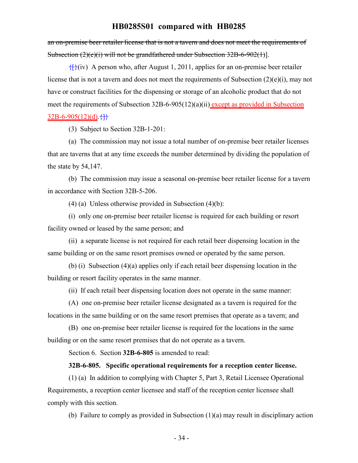an on-premise beer retailer license that is not a tavern and does not meet the requirements of Subsection (2)(e)(i) will not be grandfathered under Subsection 32B-6-902(1)].

 ${f}$ (iv) A person who, after August 1, 2011, applies for an on-premise beer retailer license that is not a tavern and does not meet the requirements of Subsection (2)(e)(i), may not have or construct facilities for the dispensing or storage of an alcoholic product that do not meet the requirements of Subsection 32B-6-905(12)(a)(ii) except as provided in Subsection  $32B-6-905(12)(d)$ .  $\left\{\right\}$ 

(3) Subject to Section 32B-1-201:

(a) The commission may not issue a total number of on-premise beer retailer licenses that are taverns that at any time exceeds the number determined by dividing the population of the state by 54,147.

(b) The commission may issue a seasonal on-premise beer retailer license for a tavern in accordance with Section 32B-5-206.

(4) (a) Unless otherwise provided in Subsection (4)(b):

(i) only one on-premise beer retailer license is required for each building or resort facility owned or leased by the same person; and

(ii) a separate license is not required for each retail beer dispensing location in the same building or on the same resort premises owned or operated by the same person.

(b) (i) Subsection (4)(a) applies only if each retail beer dispensing location in the building or resort facility operates in the same manner.

(ii) If each retail beer dispensing location does not operate in the same manner:

(A) one on-premise beer retailer license designated as a tavern is required for the locations in the same building or on the same resort premises that operate as a tavern; and

(B) one on-premise beer retailer license is required for the locations in the same building or on the same resort premises that do not operate as a tavern.

Section 6. Section **32B-6-805** is amended to read:

#### **32B-6-805. Specific operational requirements for a reception center license.**

(1) (a) In addition to complying with Chapter 5, Part 3, Retail Licensee Operational Requirements, a reception center licensee and staff of the reception center licensee shall comply with this section.

(b) Failure to comply as provided in Subsection (1)(a) may result in disciplinary action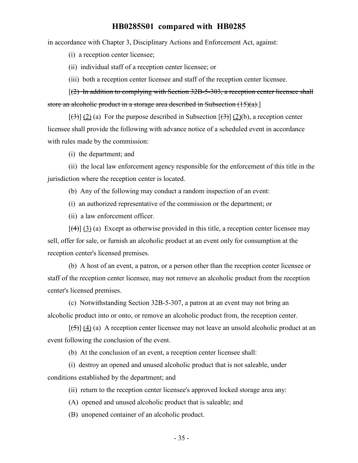in accordance with Chapter 3, Disciplinary Actions and Enforcement Act, against:

(i) a reception center licensee;

(ii) individual staff of a reception center licensee; or

(iii) both a reception center licensee and staff of the reception center licensee.

[(2) In addition to complying with Section 32B-5-303, a reception center licensee shall store an alcoholic product in a storage area described in Subsection  $(15)(a)$ .

 $[\frac{(\lambda)}{(\lambda)}]$  (2) (a) For the purpose described in Subsection  $[\frac{(\lambda)}{(\lambda)}]$  (2)(b), a reception center licensee shall provide the following with advance notice of a scheduled event in accordance with rules made by the commission:

(i) the department; and

(ii) the local law enforcement agency responsible for the enforcement of this title in the jurisdiction where the reception center is located.

(b) Any of the following may conduct a random inspection of an event:

(i) an authorized representative of the commission or the department; or

(ii) a law enforcement officer.

 $[\frac{4}{3}]$  (3) (a) Except as otherwise provided in this title, a reception center licensee may sell, offer for sale, or furnish an alcoholic product at an event only for consumption at the reception center's licensed premises.

(b) A host of an event, a patron, or a person other than the reception center licensee or staff of the reception center licensee, may not remove an alcoholic product from the reception center's licensed premises.

(c) Notwithstanding Section 32B-5-307, a patron at an event may not bring an alcoholic product into or onto, or remove an alcoholic product from, the reception center.

 $[\frac{1}{5}] (4) (a)$  A reception center licensee may not leave an unsold alcoholic product at an event following the conclusion of the event.

(b) At the conclusion of an event, a reception center licensee shall:

(i) destroy an opened and unused alcoholic product that is not saleable, under conditions established by the department; and

(ii) return to the reception center licensee's approved locked storage area any:

(A) opened and unused alcoholic product that is saleable; and

(B) unopened container of an alcoholic product.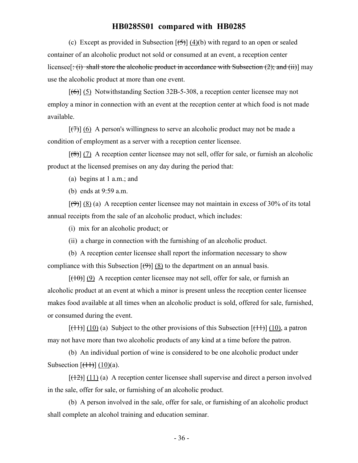(c) Except as provided in Subsection  $[\frac{(4)}{(6)}]$  (4)(b) with regard to an open or sealed container of an alcoholic product not sold or consumed at an event, a reception center licensee[ $\div(i)$  shall store the alcoholic product in accordance with Subsection (2); and (ii)] may use the alcoholic product at more than one event.

 $[\left(6\right)]$  (5) Notwithstanding Section 32B-5-308, a reception center licensee may not employ a minor in connection with an event at the reception center at which food is not made available.

 $[\overline{7}](6)$  A person's willingness to serve an alcoholic product may not be made a condition of employment as a server with a reception center licensee.

 $[(8)] (7)$  A reception center licensee may not sell, offer for sale, or furnish an alcoholic product at the licensed premises on any day during the period that:

(a) begins at 1 a.m.; and

(b) ends at 9:59 a.m.

 $[\Theta]$  (8) (a) A reception center licensee may not maintain in excess of 30% of its total annual receipts from the sale of an alcoholic product, which includes:

(i) mix for an alcoholic product; or

(ii) a charge in connection with the furnishing of an alcoholic product.

(b) A reception center licensee shall report the information necessary to show compliance with this Subsection  $[\Theta]$  (8) to the department on an annual basis.

 $[(10)(9)$  A reception center licensee may not sell, offer for sale, or furnish an alcoholic product at an event at which a minor is present unless the reception center licensee makes food available at all times when an alcoholic product is sold, offered for sale, furnished, or consumed during the event.

 $[(11)] (10)$  (a) Subject to the other provisions of this Subsection  $[(11)] (10)$ , a patron may not have more than two alcoholic products of any kind at a time before the patron.

(b) An individual portion of wine is considered to be one alcoholic product under Subsection  $[(11)(10)(a)]$ .

 $[ (12) ] (11) (a)$  A reception center licensee shall supervise and direct a person involved in the sale, offer for sale, or furnishing of an alcoholic product.

(b) A person involved in the sale, offer for sale, or furnishing of an alcoholic product shall complete an alcohol training and education seminar.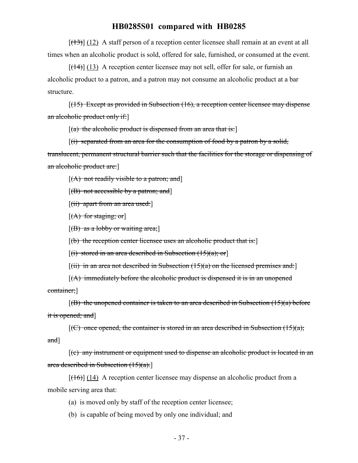$[ (13) ]$  (12) A staff person of a reception center licensee shall remain at an event at all times when an alcoholic product is sold, offered for sale, furnished, or consumed at the event.

 $[(14)] (13)$  A reception center licensee may not sell, offer for sale, or furnish an alcoholic product to a patron, and a patron may not consume an alcoholic product at a bar structure.

 $[$ (15) Except as provided in Subsection (16), a reception center licensee may dispense an alcoholic product only if:]

 $[(a)$  the alcoholic product is dispensed from an area that is:

 $[(i)$  separated from an area for the consumption of food by a patron by a solid, translucent, permanent structural barrier such that the facilities for the storage or dispensing of an alcoholic product are:]

 $[(A)$  not readily visible to a patron; and]

 $[(B)$  not accessible by a patron; and

 $[(ii)$  apart from an area used:

 $[(A)$  for staging; or

 $[(B)$  as a lobby or waiting area;

 $[(b)$  the reception center licensee uses an alcoholic product that is:

 $[(i)$  stored in an area described in Subsection  $(15)(a)$ ; or

 $[(iii)$  in an area not described in Subsection  $(15)(a)$  on the licensed premises and:

 $[(A)$  immediately before the alcoholic product is dispensed it is in an unopened container;]

 $[(B)$  the unopened container is taken to an area described in Subsection (15)(a) before it is opened; and]

 $[(C)$  once opened, the container is stored in an area described in Subsection  $(15)(a)$ ; and]

[(c) any instrument or equipment used to dispense an alcoholic product is located in an area described in Subsection  $(15)(a)$ .

 $[({16})]$  (14) A reception center licensee may dispense an alcoholic product from a mobile serving area that:

(a) is moved only by staff of the reception center licensee;

(b) is capable of being moved by only one individual; and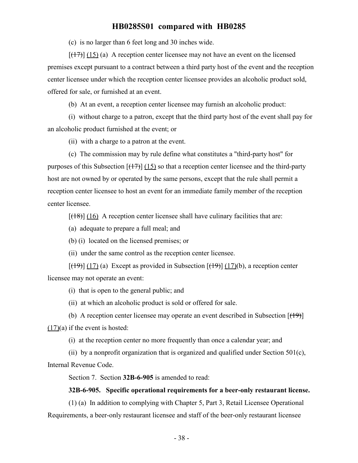(c) is no larger than 6 feet long and 30 inches wide.

 $[(17)] (15)$  (a) A reception center licensee may not have an event on the licensed premises except pursuant to a contract between a third party host of the event and the reception center licensee under which the reception center licensee provides an alcoholic product sold, offered for sale, or furnished at an event.

(b) At an event, a reception center licensee may furnish an alcoholic product:

(i) without charge to a patron, except that the third party host of the event shall pay for an alcoholic product furnished at the event; or

(ii) with a charge to a patron at the event.

(c) The commission may by rule define what constitutes a "third-party host" for purposes of this Subsection  $\left[\frac{(17)}{(15)}\right]$  (15) so that a reception center licensee and the third-party host are not owned by or operated by the same persons, except that the rule shall permit a reception center licensee to host an event for an immediate family member of the reception center licensee.

 $[({18})]$  (16) A reception center licensee shall have culinary facilities that are:

(a) adequate to prepare a full meal; and

(b) (i) located on the licensed premises; or

(ii) under the same control as the reception center licensee.

 $[(19)] (17)$  (a) Except as provided in Subsection  $[(19)] (17)$  (b), a reception center licensee may not operate an event:

(i) that is open to the general public; and

(ii) at which an alcoholic product is sold or offered for sale.

(b) A reception center licensee may operate an event described in Subsection  $[$ ( $\{$ 19) $]$ (17)(a) if the event is hosted:

(i) at the reception center no more frequently than once a calendar year; and

(ii) by a nonprofit organization that is organized and qualified under Section  $501(c)$ , Internal Revenue Code.

Section 7. Section **32B-6-905** is amended to read:

#### **32B-6-905. Specific operational requirements for a beer-only restaurant license.**

(1) (a) In addition to complying with Chapter 5, Part 3, Retail Licensee Operational Requirements, a beer-only restaurant licensee and staff of the beer-only restaurant licensee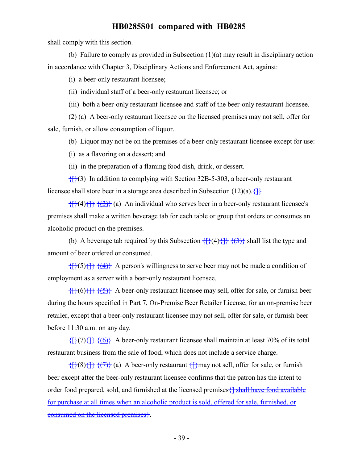shall comply with this section.

(b) Failure to comply as provided in Subsection (1)(a) may result in disciplinary action in accordance with Chapter 3, Disciplinary Actions and Enforcement Act, against:

(i) a beer-only restaurant licensee;

(ii) individual staff of a beer-only restaurant licensee; or

(iii) both a beer-only restaurant licensee and staff of the beer-only restaurant licensee.

(2) (a) A beer-only restaurant licensee on the licensed premises may not sell, offer for sale, furnish, or allow consumption of liquor.

(b) Liquor may not be on the premises of a beer-only restaurant licensee except for use:

(i) as a flavoring on a dessert; and

(ii) in the preparation of a flaming food dish, drink, or dessert.

 ${f}({\}$ (3) In addition to complying with Section 32B-5-303, a beer-only restaurant licensee shall store beer in a storage area described in Subsection  $(12)(a)$ .

 $\{ {\} \}$ { $\{ {\} \}$ }  $\{ {\} \}$ } (a) An individual who serves beer in a beer-only restaurant licensee's premises shall make a written beverage tab for each table or group that orders or consumes an alcoholic product on the premises.

(b) A beverage tab required by this Subsection  $\{\{\}(4)\{\}\}\{\{\}\}\$  shall list the type and amount of beer ordered or consumed.

 $\{ {\}(\})\{\} \}$   $\{ {\}(\mathbf{4})\}$  A person's willingness to serve beer may not be made a condition of employment as a server with a beer-only restaurant licensee.

 $\{f\}(6)$  { $\{f\}(6)$ } A beer-only restaurant licensee may sell, offer for sale, or furnish beer during the hours specified in Part 7, On-Premise Beer Retailer License, for an on-premise beer retailer, except that a beer-only restaurant licensee may not sell, offer for sale, or furnish beer before 11:30 a.m. on any day.

 $\{ {\hat{f}} \}({7}) {\hat{f}} \} {\hat{f}}({6})$  A beer-only restaurant licensee shall maintain at least 70% of its total restaurant business from the sale of food, which does not include a service charge.

 $\{ {\uparrow} \}$  (8) $\{ {\uparrow} \}$  (a) A beer-only restaurant  $\{ {\uparrow} \}$  may not sell, offer for sale, or furnish beer except after the beer-only restaurant licensee confirms that the patron has the intent to order food prepared, sold, and furnished at the licensed premises  $\{\}$  shall have food available for purchase at all times when an alcoholic product is sold, offered for sale, furnished, or consumed on the licensed premises}.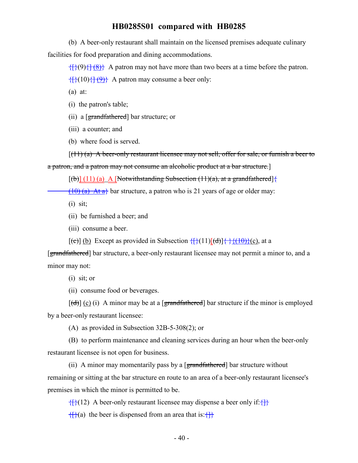(b) A beer-only restaurant shall maintain on the licensed premises adequate culinary facilities for food preparation and dining accommodations.

 $\{ {\hat{f}} \}({9}) {\hat{f}} \} ({8})$  A patron may not have more than two beers at a time before the patron.

 $\{$ {(10)}\{ $\}$  $\{$  $\}$  A patron may consume a beer only:

(a) at:

(i) the patron's table;

(ii) a [grandfathered] bar structure; or

(iii) a counter; and

(b) where food is served.

 $[(11)(a)$  A beer-only restaurant licensee may not sell, offer for sale, or furnish a beer to

a patron, and a patron may not consume an alcoholic product at a bar structure.]

 $[(b)] (11)$  (a) A [Notwithstanding Subsection (11)(a), at a grandfathered] {

 $(10)$  (a) At a<sup> $\}$ </sup> bar structure, a patron who is 21 years of age or older may:

 $(i)$  sit;

(ii) be furnished a beer; and

(iii) consume a beer.

 $[(e)]$  (b) Except as provided in Subsection  $\{\frac{1}{2}(11)[(d)]\}$   $\{\frac{1}{2}(10)\}$  (c), at a

[grandfathered] bar structure, a beer-only restaurant licensee may not permit a minor to, and a minor may not:

(i) sit; or

(ii) consume food or beverages.

 $[\text{(\text{d})}]$  (c) (i) A minor may be at a [grandfathered] bar structure if the minor is employed by a beer-only restaurant licensee:

(A) as provided in Subsection 32B-5-308(2); or

(B) to perform maintenance and cleaning services during an hour when the beer-only restaurant licensee is not open for business.

(ii) A minor may momentarily pass by a [grandfathered] bar structure without remaining or sitting at the bar structure en route to an area of a beer-only restaurant licensee's premises in which the minor is permitted to be.

 $\{\}$ {{}(12) A beer-only restaurant licensee may dispense a beer only if: {}}

 $\{f\}(a)$  the beer is dispensed from an area that is: $\{f\}$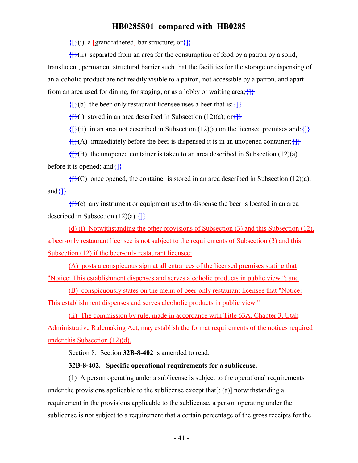${f}{i}$ (i) a [grandfathered] bar structure; or ${f}{f}$ 

 ${f}{f}(ii)$  separated from an area for the consumption of food by a patron by a solid, translucent, permanent structural barrier such that the facilities for the storage or dispensing of an alcoholic product are not readily visible to a patron, not accessible by a patron, and apart from an area used for dining, for staging, or as a lobby or waiting area;  $\{\}$ 

 ${f}{f}(b)$  the beer-only restaurant licensee uses a beer that is: ${f}{f}$ 

 $\{$ f $\}$ (i) stored in an area described in Subsection (12)(a); or  $\{$ f $\}$ 

 ${f}{f}(ii)$  in an area not described in Subsection (12)(a) on the licensed premises and: ${f}{f}$ 

 ${f}{f}(A)$  immediately before the beer is dispensed it is in an unopened container;  ${f}{f}$ 

 ${f}{f}(B)$  the unopened container is taken to an area described in Subsection (12)(a) before it is opened; and  $\{\}$ 

 ${f}{f}{f}{f}{f}{f}$ (C) once opened, the container is stored in an area described in Subsection (12)(a); and $\left\{\right\}$ 

 ${f}$ {{}(c) any instrument or equipment used to dispense the beer is located in an area described in Subsection  $(12)(a)$ .  $\{\}$ 

(d) (i) Notwithstanding the other provisions of Subsection (3) and this Subsection (12), a beer-only restaurant licensee is not subject to the requirements of Subsection (3) and this Subsection (12) if the beer-only restaurant licensee:

(A) posts a conspicuous sign at all entrances of the licensed premises stating that "Notice: This establishment dispenses and serves alcoholic products in public view."; and

(B) conspicuously states on the menu of beer-only restaurant licensee that "Notice: This establishment dispenses and serves alcoholic products in public view."

(ii) The commission by rule, made in accordance with Title 63A, Chapter 3, Utah Administrative Rulemaking Act, may establish the format requirements of the notices required under this Subsection (12)(d).

Section 8. Section **32B-8-402** is amended to read:

#### **32B-8-402. Specific operational requirements for a sublicense.**

(1) A person operating under a sublicense is subject to the operational requirements under the provisions applicable to the sublicense except that  $[\pm(\alpha)]$  notwithstanding a requirement in the provisions applicable to the sublicense, a person operating under the sublicense is not subject to a requirement that a certain percentage of the gross receipts for the